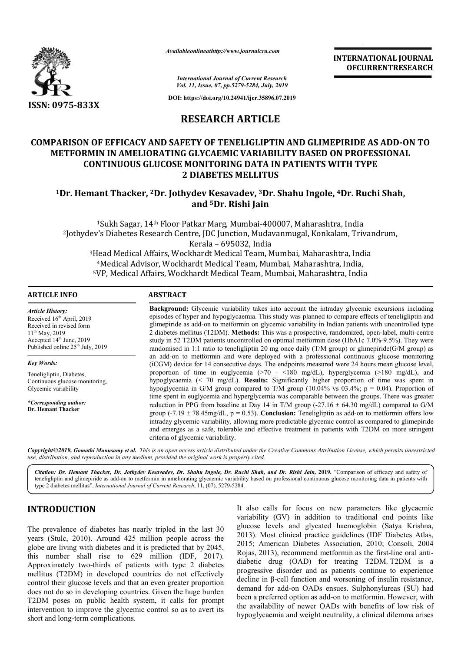

*Availableonlineathttp://www.journal Availableonlineathttp://www.journalcra.com*

# **RESEARCH ARTICLE**

# COMPARISON OF EFFICACY AND SAFETY OF TENELIGLIPTIN AND GLIMEPIRIDE AS ADD-ON TO **METFORMIN IN AMELIORATING GLYCAEMIC VARIABILITY BASED ON PROFESSIONAL CONTINUOUS GLUCOSE MONITORING DATA IN PATIENTS WITH TYPE 10. IETFORMIN IN AMELIORATING GLYCAEMIC VARIABILITY BASED ON PROFESSIONAL<br>CONTINUOUS GLUCOSE MONITORING DATA IN PATIENTS WITH TYPE<br>2 DIABETES MELLITUS<br><sup>1</sup>Dr. Hemant Thacker, <sup>2</sup>Dr. Jothydev Kesavadev, <sup>3</sup>Dr. Shahu Ingole, 2 DIABETES MELLITUS**

# **and 5Dr. Rishi Jain**

|                                                                                                                                                                                                                                                                                                                                                                                                                                                                                                                                                                                                                                                                                                              |                                                                                                                                                                                                                                                                                                                                                                                                                                                                                                                                                                                                                                                                                                                                                                                                                                                                                                                                                                                                                                                                           |                                                                                                  | <b>INTERNATIONAL JOURNAL</b><br><b>OFCURRENTRESEARCH</b>                                                                                                                                                                                                                                                                                                                                                                                                                                                                                                                                                                                                                                                                                                                                                                                  |  |
|--------------------------------------------------------------------------------------------------------------------------------------------------------------------------------------------------------------------------------------------------------------------------------------------------------------------------------------------------------------------------------------------------------------------------------------------------------------------------------------------------------------------------------------------------------------------------------------------------------------------------------------------------------------------------------------------------------------|---------------------------------------------------------------------------------------------------------------------------------------------------------------------------------------------------------------------------------------------------------------------------------------------------------------------------------------------------------------------------------------------------------------------------------------------------------------------------------------------------------------------------------------------------------------------------------------------------------------------------------------------------------------------------------------------------------------------------------------------------------------------------------------------------------------------------------------------------------------------------------------------------------------------------------------------------------------------------------------------------------------------------------------------------------------------------|--------------------------------------------------------------------------------------------------|-------------------------------------------------------------------------------------------------------------------------------------------------------------------------------------------------------------------------------------------------------------------------------------------------------------------------------------------------------------------------------------------------------------------------------------------------------------------------------------------------------------------------------------------------------------------------------------------------------------------------------------------------------------------------------------------------------------------------------------------------------------------------------------------------------------------------------------------|--|
|                                                                                                                                                                                                                                                                                                                                                                                                                                                                                                                                                                                                                                                                                                              |                                                                                                                                                                                                                                                                                                                                                                                                                                                                                                                                                                                                                                                                                                                                                                                                                                                                                                                                                                                                                                                                           | <b>International Journal of Current Research</b><br>Vol. 11, Issue, 07, pp.5279-5284, July, 2019 |                                                                                                                                                                                                                                                                                                                                                                                                                                                                                                                                                                                                                                                                                                                                                                                                                                           |  |
| ISSN: 0975-833X                                                                                                                                                                                                                                                                                                                                                                                                                                                                                                                                                                                                                                                                                              |                                                                                                                                                                                                                                                                                                                                                                                                                                                                                                                                                                                                                                                                                                                                                                                                                                                                                                                                                                                                                                                                           | DOI: https://doi.org/10.24941/ijcr.35896.07.2019                                                 |                                                                                                                                                                                                                                                                                                                                                                                                                                                                                                                                                                                                                                                                                                                                                                                                                                           |  |
|                                                                                                                                                                                                                                                                                                                                                                                                                                                                                                                                                                                                                                                                                                              |                                                                                                                                                                                                                                                                                                                                                                                                                                                                                                                                                                                                                                                                                                                                                                                                                                                                                                                                                                                                                                                                           | <b>RESEARCH ARTICLE</b>                                                                          |                                                                                                                                                                                                                                                                                                                                                                                                                                                                                                                                                                                                                                                                                                                                                                                                                                           |  |
|                                                                                                                                                                                                                                                                                                                                                                                                                                                                                                                                                                                                                                                                                                              | <b>CONTINUOUS GLUCOSE MONITORING DATA IN PATIENTS WITH TYPE</b>                                                                                                                                                                                                                                                                                                                                                                                                                                                                                                                                                                                                                                                                                                                                                                                                                                                                                                                                                                                                           | <b>2 DIABETES MELLITUS</b>                                                                       | <b>COMPARISON OF EFFICACY AND SAFETY OF TENELIGLIPTIN AND GLIMEPIRIDE AS ADD-ON TO</b><br>METFORMIN IN AMELIORATING GLYCAEMIC VARIABILITY BASED ON PROFESSIONAL                                                                                                                                                                                                                                                                                                                                                                                                                                                                                                                                                                                                                                                                           |  |
|                                                                                                                                                                                                                                                                                                                                                                                                                                                                                                                                                                                                                                                                                                              | <sup>1</sup> Dr. Hemant Thacker, <sup>2</sup> Dr. Jothydev Kesavadev, <sup>3</sup> Dr. Shahu Ingole, <sup>4</sup> Dr. Ruchi Shah,                                                                                                                                                                                                                                                                                                                                                                                                                                                                                                                                                                                                                                                                                                                                                                                                                                                                                                                                         | and <sup>5</sup> Dr. Rishi Jain                                                                  |                                                                                                                                                                                                                                                                                                                                                                                                                                                                                                                                                                                                                                                                                                                                                                                                                                           |  |
|                                                                                                                                                                                                                                                                                                                                                                                                                                                                                                                                                                                                                                                                                                              | <sup>1</sup> Sukh Sagar, 14 <sup>th</sup> Floor Patkar Marg, Mumbai-400007, Maharashtra, India<br><sup>2</sup> Jothydev's Diabetes Research Centre, JDC Junction, Mudavanmugal, Konkalam, Trivandrum,<br><sup>3</sup> Head Medical Affairs, Wockhardt Medical Team, Mumbai, Maharashtra, India<br><sup>4</sup> Medical Advisor, Wockhardt Medical Team, Mumbai, Maharashtra, India,<br><sup>5</sup> VP, Medical Affairs, Wockhardt Medical Team, Mumbai, Maharashtra, India                                                                                                                                                                                                                                                                                                                                                                                                                                                                                                                                                                                               | Kerala - 695032, India                                                                           |                                                                                                                                                                                                                                                                                                                                                                                                                                                                                                                                                                                                                                                                                                                                                                                                                                           |  |
| <b>ARTICLE INFO</b>                                                                                                                                                                                                                                                                                                                                                                                                                                                                                                                                                                                                                                                                                          | <b>ABSTRACT</b>                                                                                                                                                                                                                                                                                                                                                                                                                                                                                                                                                                                                                                                                                                                                                                                                                                                                                                                                                                                                                                                           |                                                                                                  |                                                                                                                                                                                                                                                                                                                                                                                                                                                                                                                                                                                                                                                                                                                                                                                                                                           |  |
| <b>Article History:</b><br>Received 16 <sup>th</sup> April, 2019<br>Received in revised form<br>11 <sup>th</sup> May, 2019<br>Accepted 14th June, 2019<br>Published online 25 <sup>th</sup> July, 2019                                                                                                                                                                                                                                                                                                                                                                                                                                                                                                       |                                                                                                                                                                                                                                                                                                                                                                                                                                                                                                                                                                                                                                                                                                                                                                                                                                                                                                                                                                                                                                                                           |                                                                                                  | Background: Glycemic variability takes into account the intraday glycemic excursions including<br>episodes of hyper and hypoglycaemia. This study was planned to compare effects of teneligliptin and<br>glimepiride as add-on to metformin on glycemic variability in Indian patients with uncontrolled type<br>2 diabetes mellitus (T2DM). Methods: This was a prospective, randomized, open-label, multi-centre<br>study in 52 T2DM patients uncontrolled on optimal metformin dose (HbA1c 7.0%-9.5%). They were<br>randomised in 1:1 ratio to teneligliptin 20 mg once daily $(T/M \text{ group})$ or glimepiride( $G/M \text{ group}$ ) as                                                                                                                                                                                           |  |
| <b>Key Words:</b><br>Teneligliptin, Diabetes,<br>Continuous glucose monitoring,<br>Glycemic variability<br>*Corresponding author:<br>Dr. Hemant Thacker                                                                                                                                                                                                                                                                                                                                                                                                                                                                                                                                                      | an add-on to metformin and were deployed with a professional continuous glucose monitoring<br>(iCGM) device for 14 consecutive days. The endpoints measured were 24 hours mean glucose level,<br>proportion of time in euglycemia $(270 - 180 \text{ mg/dL})$ , hyperglycemia $(2180 \text{ mg/dL})$ , and<br>hypoglycaemia (< 70 mg/dL). Results: Significantly higher proportion of time was spent in<br>hypoglycemia in G/M group compared to T/M group (10.04% vs 03.4%; $p = 0.04$ ). Proportion of<br>time spent in euglycemia and hyperglycemia was comparable between the groups. There was greater<br>reduction in PPG from baseline at Day 14 in T/M group (-27.16 $\pm$ 64.30 mg/dL) compared to G/M<br>group (-7.19 $\pm$ 78.45mg/dL, p = 0.53). Conclusion: Teneligliptin as add-on to metform n offers low<br>intraday glycemic variability, allowing more predictable glycemic control as compared to glimepiride<br>and emerges as a safe, tolerable and effective treatment in patients with T2DM on more stringent<br>criteria of glycemic variability. |                                                                                                  |                                                                                                                                                                                                                                                                                                                                                                                                                                                                                                                                                                                                                                                                                                                                                                                                                                           |  |
|                                                                                                                                                                                                                                                                                                                                                                                                                                                                                                                                                                                                                                                                                                              | use, distribution, and reproduction in any medium, provided the original work is properly cited.                                                                                                                                                                                                                                                                                                                                                                                                                                                                                                                                                                                                                                                                                                                                                                                                                                                                                                                                                                          |                                                                                                  | Copyright©2019, Gomathi Munusamy et al. This is an open access article distributed under the Creative Commons Attribution License, which permits unrestricted                                                                                                                                                                                                                                                                                                                                                                                                                                                                                                                                                                                                                                                                             |  |
|                                                                                                                                                                                                                                                                                                                                                                                                                                                                                                                                                                                                                                                                                                              | type 2 diabetes mellitus", <i>International Journal of Current Research</i> , 11, (07), 5279-5284.                                                                                                                                                                                                                                                                                                                                                                                                                                                                                                                                                                                                                                                                                                                                                                                                                                                                                                                                                                        |                                                                                                  | Citation: Dr. Hemant Thacker, Dr. Jothydev Kesavadev, Dr. Shahu Ingole, Dr. Ruchi Shah, and Dr. Rishi Jain, 2019. "Comparison of efficacy and safety of<br>teneligliptin and glimepiride as add-on to metformin in ameliorating glycaemic variability based on professional continuous glucose monitoring data in patients with                                                                                                                                                                                                                                                                                                                                                                                                                                                                                                           |  |
| <b>INTRODUCTION</b><br>The prevalence of diabetes has nearly tripled in the last 30<br>years (Stulc, 2010). Around 425 million people across the<br>globe are living with diabetes and it is predicted that by 2045,<br>this number shall rise to 629 million (IDF, 2017).<br>Approximately two-thirds of patients with type 2 diabetes<br>mellitus (T2DM) in developed countries do not effectively<br>control their glucose levels and that an even greater proportion<br>does not do so in developing countries. Given the huge burden<br>T2DM poses on public health system, it calls for prompt<br>intervention to improve the glycemic control so as to avert its<br>short and long-term complications |                                                                                                                                                                                                                                                                                                                                                                                                                                                                                                                                                                                                                                                                                                                                                                                                                                                                                                                                                                                                                                                                           |                                                                                                  | It also calls for focus on new parameters like glycaemic<br>variability (GV) in addition to traditional end points like<br>glucose levels and glycated haemoglobin (Satya Krishna,<br>2013). Most clinical practice guidelines (IDF Diabetes Atlas,<br>2015; American Diabetes Association, 2010; Consoli, 2004<br>Rojas, 2013), recommend metformin as the first-line oral anti-<br>diabetic drug (OAD) for treating T2DM T2DM is a<br>progressive disorder and as patients continue to experience<br>decline in $\beta$ -cell function and worsening of insulin resistance,<br>demand for add-on OADs ensues. Sulphonylureas (SU) had<br>been a preferred option as add-on to metformin. However, with<br>the availability of newer OADs with benefits of low risk of<br>hypoglycaemia and weight neutrality, a clinical dilemma arises |  |

# **INTRODUCTION**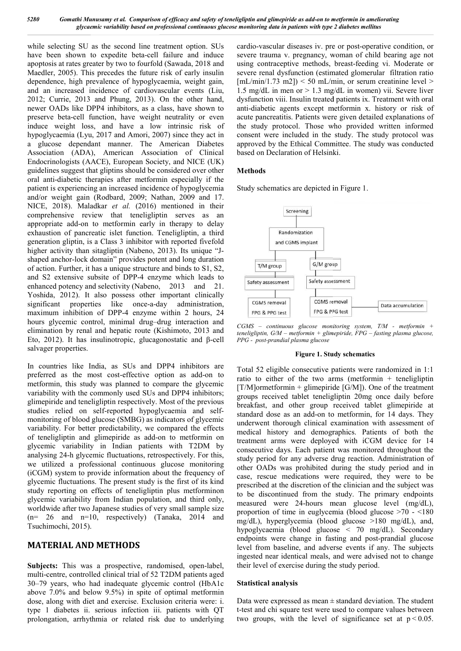while selecting SU as the second line treatment option. SUs have been shown to expedite beta-cell failure and induce apoptosis at rates greater by two to fourfold ( (Sawada, 2018 and Maedler, 2005). This precedes the future risk of early insulin dependence, high prevalence of hypoglycaemia, weight gain, and an increased incidence of cardiovascular events (Liu, 2012; Currie, 2013 and Phung, 2013). On the other hand, newer OADs like DPP4 inhibitors, as a class, have shown to preserve beta-cell function, have weight neutrality or even induce weight loss, and have a low intrinsic risk of hypoglycaemia (Lyu, 2017 and Amori, 2007) since they act in a glucose dependant manner. The American Diabetes Association (ADA), American Association of Clinical Endocrinologists (AACE), European Society, and NICE (UK) guidelines suggest that gliptins should be considered over other oral anti-diabetic therapies after metformin especially if the patient is experiencing an increased incidence of hypoglycemia and/or weight gain (Rodbard, 2009; Nathan, 2009 and 17. NICE, 2018). Maladkar *et al.* (2016) mentioned in their comprehensive review that teneligliptin serves as an appropriate add-on to metformin early in therapy to delay exhaustion of pancreatic islet function. Teneligliptin, a third generation gliptin, is a Class 3 inhibitor with reported five higher activity than sitagliptin (Nabeno, 2013 2013). Its unique "Jshaped anchor-lock domain" provides potent and long duration of action. Further, it has a unique structure and binds to S1, S2, and S2 extensive subsite of DPP-4 enzyme which leads to enhanced potency and selectivity (Nabeno, 2013 and 21. Yoshida, 2012). It also possess other important clinically significant properties like once-a-day administration, maximum inhibition of DPP-4 enzyme within 2 hours, 24 hours glycemic control, minimal drug–drug interaction and elimination by renal and hepatic route (Kishimoto, 2013 and Eto, 2012). It has insulinotropic, glucagonostatic and β-cell salvager properties. cell function, have weight neutrality or even<br>t loss, and have a low intrinsic risk of<br> $\mu$  (Lyu, 2017 and Amori, 2007) since they act in on to metformin early in therapy to delay<br>increatic islet function. Teneligliptin, a third<br>i, is a Class 3 inhibitor with reported fivefold lock domain" provides potent and long duration<br>er, it has a unique structure and binds to S1, S2,<br>ive subsite of DPP-4 enzyme which leads to<br>locy and selectivity (Nabeno, 2013 and 21.<br>). It also possess other important cli is eithering U units accoust the two-measurable considered week and when the state of the state of the state of the state of the state of the state of the state of the state of the state of the state of the state of the s

In countries like India, as SUs and DPP4 inhibitors are preferred as the most cost-effective option as add-on to metformin, this study was planned to compare the glycemic variability with the commonly used SUs and DPP4 inhibitors; glimepiride and teneligliptin respectively. Most of the previous studies relied on self-reported hypoglycaemia and selfmonitoring of blood glucose (SMBG) as indicators of glycemic variability. For better predictability, we compared the effects of teneligliptin and glimepiride as add-on to metformin on glycemic variability in Indian patients with T2DM by analysing 24-h glycemic fluctuations, retrospectively we utilized a professional continuous glucose monitoring (iCGM) system to provide information about the frequency of glycemic fluctuations. The present study is the first of its kind study reporting on effects of teneligliptin plus metforminon glycemic variability from Indian population, and third only, worldwide after two Japanese studies of very small sample size  $(n= 26$  and  $n=10$ , respectively) (Tanaka, 2014 and Tsuchimochi, 2015). dd-on to metformin on<br>ients with T2DM by<br>retrospectively. For this,

## **MATERIAL AND METHODS**

Subjects: This was a prospective, randomised, open-label, multi-centre, controlled clinical trial of 52 T2DM patients aged 30–79 years, who had inadequate glycemic control (HbA1c above 7.0% and below 9.5%) in spite of optimal metformin dose, along with diet and exercise. Exclusion criteria were: i. type 1 diabetes ii. serious infection iii. patients with QT prolongation, arrhythmia or related risk due to underlying severe trauma v. pregnancy, woman of child bearing age not severe trauma v. pregnancy, woman of child bearing age not using contraceptive methods, breast-feeding vi. Moderate or severe renal dysfunction (estimated glomerular filtration ratio  $[mL/min/1.73 \text{ m}2])$  < 50 mL/min, or serum creatinine level > 1.5 mg/dL in men or  $> 1.3$  mg/dL in women) vii. Severe liver dysfunction viii. Insulin treated patients ix. Treatment with oral anti-diabetic agents except metformin x. history or risk of acute pancreatitis. Patients were given detailed explanations of the study protocol. Those who provided written informed consent were included in the study. The study protocol was approved by the Ethical Committee. The study was conducted based on Declaration of Helsinki. cardio-vascular diseases iv. pre or post-operative condition, or wsfunction (estimated glomerular filtration ratio m2])  $<$  50 mL/min, or serum creatinine level  $>$  nen or  $>$  1.3 mg/dL in women) vii. Severe liver diabetic agents except metformin x. history<br>e pancreatitis. Patients were given detailed expl<br>study protocol. Those who provided writter<br>ent were included in the study. The study pr<br>oved by the Ethical Committee. The study

## **Methods**

Study schematics are depicted in Figure 1.



*CGMS* – *continuous* glucose monitoring system, T/M - metformin + *teneligliptin, G/M – metformin + glimepiride, FP metformin + FPG – fasting plasma glucose, PPG - post-prandial plasma glucose*

#### **Figure 1. Study schematics**

Total 52 eligible consecutive patients were randomized in 1:1 Total 52 eligible consecutive patients were randomized in 1:1 ratio to either of the two arms (metformin + teneligliptin  $[T/M]$ ormetformin + glimepiride  $[G/M]$ ). One of the treatment groups received tablet teneligliptin 20mg once daily before breakfast, and other group received tablet glimepiride at standard dose as an add-on to metformin, for 14 days. underwent thorough clinical examination with assessment of medical history and demographics. Patients of both the treatment arms were deployed with iCGM device for 14 consecutive days. Each patient was monitored throughout the study period for any adverse drug reaction. Administration of underwent thorough clinical examination with assessment of medical history and demographics. Patients of both the treatment arms were deployed with iCGM device for 14 consecutive days. Each patient was monitored throughout case, rescue medications were required, they were to be prescribed at the discretion of the clinician and the subject was to be discontinued from the study. The primary endpoints measured were 24-hours mean glucose level (mg/dL proportion of time in euglycemia (blood glucose  $>70 - 180$ mg/dL), hyperglycemia (blood glucose  $>180$  mg/dL), and, hypoglycaemia (blood glucose < 70 mg/dL). Secondary hypoglycaemia (blood glucose < 70 mg/dL). Secondary endpoints were change in fasting and post-prandial glucose level from baseline, and adverse events if any. The subjects ingested near identical meals, and were advised not to change their level of exercise during the study period. groups received tablet teneligliptin 20mg once daily before<br>breakfast, and other group received tablet glimepiride at<br>standard dose as an add-on to metformin, for 14 days. They medications were required, they were to be<br>the discretion of the clinician and the subject was<br>tinued from the study. The primary endpoints<br>ere 24-hours mean glucose level (mg/dL),

#### **Statistical analysis**

Data were expressed as mean  $\pm$  standard deviation. The student t-test and chi square test were used to compare values between ingested near identical meals, and were advised not to change<br>their level of exercise during the study period.<br>**Statistical analysis**<br>Data were expressed as mean  $\pm$  standard deviation. The student<br>t-test and chi square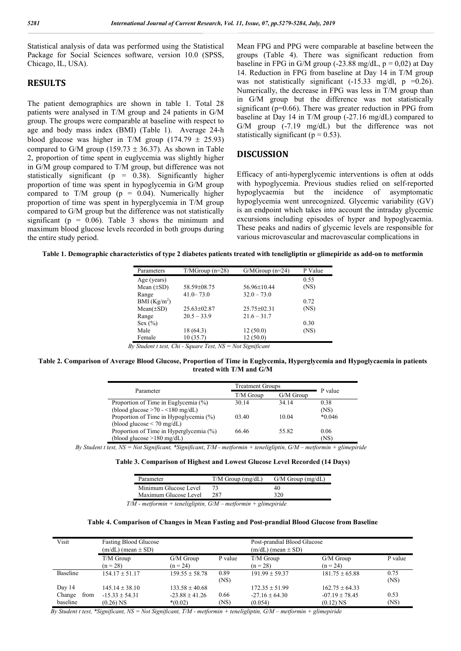Statistical analysis of data was performed using the Statistical Package for Social Sciences software, version 10.0 (SPSS, Chicago, IL, USA).

## **RESULTS**

The patient demographics are shown in table 1. Total 28 patients were analysed in T/M group and 24 patients in G/M group. The groups were comparable at baseline with respect to age and body mass index (BMI) (Table 1). Average 24-h blood glucose was higher in T/M group (174.79  $\pm$  25.93) compared to G/M group (159.73  $\pm$  36.37). As shown in Table 2, proportion of time spent in euglycemia was slightly higher in G/M group compared to T/M group, but difference was not statistically significant ( $p = 0.38$ ). Significantly higher proportion of time was spent in hypoglycemia in G/M group compared to T/M group ( $p = 0.04$ ). Numerically higher proportion of time was spent in hyperglycemia in T/M group compared to G/M group but the difference was not statistically significant ( $p = 0.06$ ). Table 3 shows the minimum and maximum blood glucose levels recorded in both groups during the entire study period.

Mean FPG and PPG were comparable at baseline between the groups (Table 4). There was significant reduction from baseline in FPG in G/M group (-23.88 mg/dL,  $p = 0.02$ ) at Day 14. Reduction in FPG from baseline at Day 14 in T/M group was not statistically significant  $(-15.33 \text{ mg/dl}, \text{ p} = 0.26)$ . Numerically, the decrease in FPG was less in T/M group than in G/M group but the difference was not statistically significant (p=0.66). There was greater reduction in PPG from baseline at Day 14 in T/M group (-27.16 mg/dL) compared to G/M group (-7.19 mg/dL) but the difference was not statistically significant ( $p = 0.53$ ).

#### **DISCUSSION**

Efficacy of anti-hyperglycemic interventions is often at odds with hypoglycemia. Previous studies relied on self-reported hypoglycaemia but the incidence of asymptomatic hypoglycemia went unrecognized. Glycemic variability (GV) is an endpoint which takes into account the intraday glycemic excursions including episodes of hyper and hypoglycaemia. These peaks and nadirs of glycemic levels are responsible for various microvascular and macrovascular complications in

| Table 1. Demographic characteristics of type 2 diabetes patients treated with teneligliptin or glimepiride as add-on to metformin |  |  |
|-----------------------------------------------------------------------------------------------------------------------------------|--|--|
|                                                                                                                                   |  |  |

| Parameters               | $T/MGroup (n=28)$ | $G/MGroup (n=24)$ | P Value |
|--------------------------|-------------------|-------------------|---------|
| Age (years)              |                   |                   | 0.55    |
| Mean $(\pm SD)$          | 58.59±08.75       | 56.96±10.44       | (NS)    |
| Range                    | $41.0 - 73.0$     | $32.0 - 73.0$     |         |
| BMI (Kg/m <sup>2</sup> ) |                   |                   | 0.72    |
| $Mean(\pm SD)$           | $25.63 \pm 02.87$ | $25.75 \pm 02.31$ | (NS)    |
| Range                    | $20.5 - 33.9$     | $21.6 - 31.7$     |         |
| Sex $(\% )$              |                   |                   | 0.30    |
| Male                     | 18 (64.3)         | 12(50.0)          | (NS)    |
| Female                   | 10(35.7)          | 12(50.0)          |         |

 *By Student t test, Chi - Square Test, NS = Not Significant*

#### **Table 2. Comparison of Average Blood Glucose, Proportion of Time in Euglycemia, Hyperglycemia and Hypoglycaemia in patients treated with T/M and G/M**

| Parameter                                                                 | <b>Treatment Groups</b> |           | P value      |
|---------------------------------------------------------------------------|-------------------------|-----------|--------------|
|                                                                           | T/M Group               | G/M Group |              |
| Proportion of Time in Euglycemia (%)                                      | 30.14                   | 34.14     | 0.38         |
| (blood glucose $>70 - 180$ mg/dL)                                         |                         |           | (NS)         |
| Proportion of Time in Hypoglycemia (%)<br>(blood glucose $\leq 70$ mg/dL) | 03.40                   | 10.04     | $*0.046$     |
| Proportion of Time in Hyperglycemia (%)<br>(blood glucose >180 mg/dL)     | 66.46                   | 55.82     | 0.06<br>(NS) |

 *By Student t test, NS = Not Significant, \*Significant*, *T/M - metformin + teneligliptin, G/M – metformin + glimepiride*

| Table 3. Comparison of Highest and Lowest Glucose Level Recorded (14 Days) |  |  |  |  |  |
|----------------------------------------------------------------------------|--|--|--|--|--|
|----------------------------------------------------------------------------|--|--|--|--|--|

|       | Parameter             | $T/M$ Group (mg/dL) | $G/M$ Group (mg/dL) |
|-------|-----------------------|---------------------|---------------------|
|       | Minimum Glucose Level |                     | 40                  |
|       | Maximum Glucose Level | 287                 | 320                 |
| _____ |                       | .                   |                     |

 *T/M - metformin + teneligliptin, G/M – metformin + glimepiride*

#### **Table 4. Comparison of Changes in Mean Fasting and Post-prandial Blood Glucose from Baseline**

| Visit          | <b>Fasting Blood Glucose</b><br>$(m/dL)$ (mean $\pm$ SD) |                         |              | Post-prandial Blood Glucose<br>$(m/dL)$ (mean $\pm$ SD) |                         |              |
|----------------|----------------------------------------------------------|-------------------------|--------------|---------------------------------------------------------|-------------------------|--------------|
|                | $T/M$ Group<br>$(n = 28)$                                | G/M Group<br>$(n = 24)$ | P value      | $T/M$ Group<br>$(n = 28)$                               | G/M Group<br>$(n = 24)$ | P value      |
| Baseline       | $154.17 + 51.17$                                         | $159.55 \pm 58.78$      | 0.89<br>(NS) | $191.99 + 59.37$                                        | $181.75 \pm 65.88$      | 0.75<br>(NS) |
| Day 14         | $145.14 + 38.10$                                         | $133.58 + 40.68$        |              | $172.35 + 51.99$                                        | $162.75 + 64.33$        |              |
| Change<br>from | $-15.33 \pm 54.31$                                       | $-23.88 \pm 41.26$      | 0.66         | $-27.16 \pm 64.30$                                      | $-07.19 \pm 78.45$      | 0.53         |
| baseline       | $(0.26)$ NS                                              | $*(0.02)$               | (NS)         | (0.054)                                                 | $(0.12)$ NS             | (NS)         |

 *By Student t test, \*Significant, NS = Not Significant, T/M - metformin + teneligliptin, G/M – metformin + glimepiride*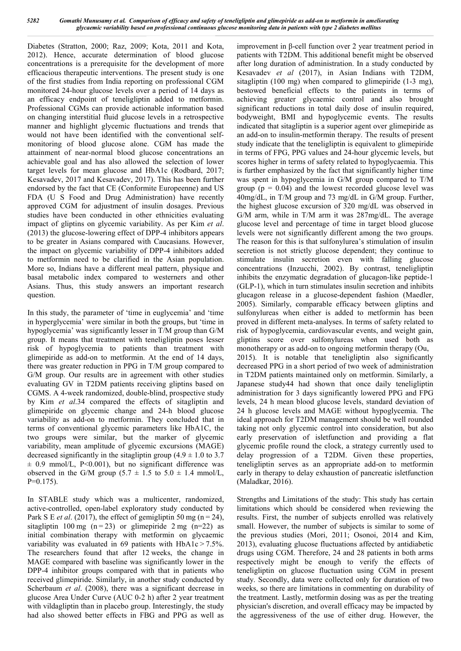Diabetes (Stratton, 2000; Raz, 2009; Kota, 2011 and Kota, 2012). Hence, accurate determination of blood glucose concentrations is a prerequisite for the development of more efficacious therapeutic interventions. The present study is one of the first studies from India reporting on professional CGM monitored 24-hour glucose levels over a period of 14 days as an efficacy endpoint of teneligliptin added to metformin. Professional CGMs can provide actionable information based on changing interstitial fluid glucose levels in a retrospective manner and highlight glycemic fluctuations and trends that would not have been identified with the conventional selfmonitoring of blood glucose alone. CGM has made the attainment of near-normal blood glucose concentrations an achievable goal and has also allowed the selection of lower target levels for mean glucose and HbA1c (Rodbard, 2017; Kesavadev, 2017 and Kesavadev, 2017). This has been further endorsed by the fact that CE (Conformite Europeenne) and US FDA (U S Food and Drug Administration) have recently approved CGM for adjustment of insulin dosages. Previous studies have been conducted in other ethnicities evaluating impact of gliptins on glycemic variability. As per Kim *et al*. (2013) the glucose-lowering effect of DPP-4 inhibitors appears to be greater in Asians compared with Caucasians. However, the impact on glycemic variability of DPP-4 inhibitors added to metformin need to be clarified in the Asian population. More so, Indians have a different meal pattern, physique and basal metabolic index compared to westerners and other Asians. Thus, this study answers an important research question.

In this study, the parameter of 'time in euglycemia' and 'time in hyperglycemia' were similar in both the groups, but 'time in hypoglycemia' was significantly lesser in T/M group than G/M group. It means that treatment with teneligliptin poses lesser risk of hypoglycemia to patients than treatment with glimepiride as add-on to metformin. At the end of 14 days, there was greater reduction in PPG in T/M group compared to G/M group. Our results are in agreement with other studies evaluating GV in T2DM patients receiving gliptins based on CGMS. A 4-week randomized, double-blind, prospective study by Kim *et al*.34 compared the effects of sitagliptin and glimepiride on glycemic change and 24-h blood glucose variability as add-on to metformin. They concluded that in terms of conventional glycemic parameters like HbA1C, the two groups were similar, but the marker of glycemic variability, mean amplitude of glycemic excursions (MAGE) decreased significantly in the sitagliptin group  $(4.9 \pm 1.0 \text{ to } 3.7)$  $\pm$  0.9 mmol/L, P<0.001), but no significant difference was observed in the G/M group  $(5.7 \pm 1.5 \text{ to } 5.0 \pm 1.4 \text{ mmol/L})$ ,  $P=0.175$ ).

In STABLE study which was a multicenter, randomized, active-controlled, open-label exploratory study conducted by Park S E *et al.* (2017), the effect of gemigliptin 50 mg (n = 24), sitagliptin 100 mg  $(n=23)$  or glimepiride 2 mg  $(n=22)$  as initial combination therapy with metformin on glycaemic variability was evaluated in 69 patients with HbA1c > 7.5%. The researchers found that after 12 weeks, the change in MAGE compared with baseline was significantly lower in the DPP-4 inhibitor groups compared with that in patients who received glimepiride. Similarly, in another study conducted by Scherbaum *et al.* (2008), there was a significant decrease in glucose Area Under Curve (AUC 0-2 h) after 2 year treatment with vildagliptin than in placebo group. Interestingly, the study had also showed better effects in FBG and PPG as well as improvement in β-cell function over 2 year treatment period in patients with T2DM. This additional benefit might be observed after long duration of administration. In a study conducted by Kesavadev *et al* (2017), in Asian Indians with T2DM, sitagliptin (100 mg) when compared to glimepiride (1-3 mg), bestowed beneficial effects to the patients in terms of achieving greater glycaemic control and also brought significant reductions in total daily dose of insulin required. bodyweight, BMI and hypoglycemic events. The results indicated that sitagliptin is a superior agent over glimepiride as an add-on to insulin-metformin therapy. The results of present study indicate that the teneligliptin is equivalent to glimepiride in terms of FPG, PPG values and 24-hour glycemic levels, but scores higher in terms of safety related to hypoglycaemia. This is further emphasized by the fact that significantly higher time was spent in hypoglycemia in G/M group compared to T/M group ( $p = 0.04$ ) and the lowest recorded glucose level was 40mg/dL, in T/M group and 73 mg/dL in G/M group. Further, the highest glucose excursion of 320 mg/dL was observed in G/M arm, while in T/M arm it was 287mg/dL. The average glucose level and percentage of time in target blood glucose levels were not significantly different among the two groups. The reason for this is that sulfonylurea's stimulation of insulin secretion is not strictly glucose dependent; they continue to stimulate insulin secretion even with falling glucose concentrations (Inzucchi, 2002). By contrast, teneligliptin inhibits the enzymatic degradation of glucagon-like peptide-1 (GLP-1), which in turn stimulates insulin secretion and inhibits glucagon release in a glucose-dependent fashion (Maedler, 2005). Similarly, comparable efficacy between gliptins and sulfonylureas when either is added to metformin has been proved in different meta-analyses. In terms of safety related to risk of hypoglycemia, cardiovascular events, and weight gain, gliptins score over sulfonylureas when used both as monotherapy or as add-on to ongoing metformin therapy (Ou, 2015). It is notable that teneligliptin also significantly decreased PPG in a short period of two week of administration in T2DM patients maintained only on metformin. Similarly, a Japanese study44 had shown that once daily teneligliptin administration for 3 days significantly lowered PPG and FPG levels, 24 h mean blood glucose levels, standard deviation of 24 h glucose levels and MAGE without hypoglycemia. The ideal approach for T2DM management should be well rounded taking not only glycemic control into consideration, but also early preservation of isletfunction and providing a flat glycemic profile round the clock, a strategy currently used to delay progression of a T2DM. Given these properties, teneligliptin serves as an appropriate add-on to metformin early in therapy to delay exhaustion of pancreatic isletfunction (Maladkar, 2016).

Strengths and Limitations of the study: This study has certain limitations which should be considered when reviewing the results. First, the number of subjects enrolled was relatively small. However, the number of subjects is similar to some of the previous studies (Mori, 2011; Osonoi, 2014 and Kim, 2013), evaluating glucose fluctuations affected by antidiabetic drugs using CGM. Therefore, 24 and 28 patients in both arms respectively might be enough to verify the effects of teneligliptin on glucose fluctuation using CGM in present study. Secondly, data were collected only for duration of two weeks, so there are limitations in commenting on durability of the treatment. Lastly, metformin dosing was as per the treating physician's discretion, and overall efficacy may be impacted by the aggressiveness of the use of either drug. However, the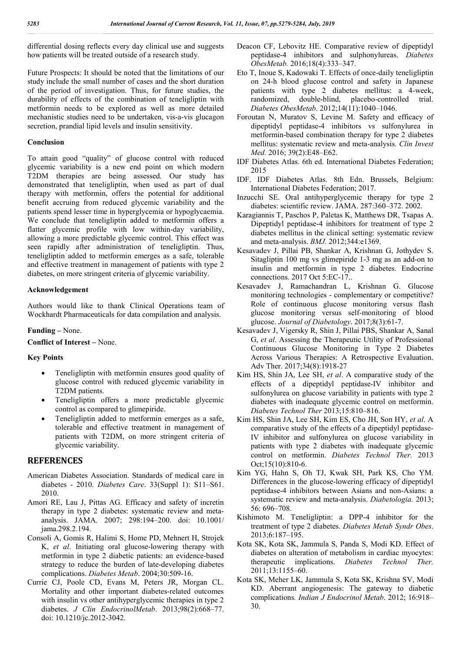differential dosing reflects every day clinical use and suggests how patients will be treated outside of a research study.

Future Prospects: It should be noted that the limitations of our study include the small number of cases and the short duration of the period of investigation. Thus, for future studies, the durability of effects of the combination of teneligliptin with metformin needs to be explored as well as more detailed mechanistic studies need to be undertaken, vis-a-vis glucagon secretion, prandial lipid levels and insulin sensitivity.

#### **Conclusion**

To attain good "quality" of glucose control with reduced glycemic variability is a new end point on which modern T2DM therapies are being assessed. Our study has demonstrated that teneligliptin, when used as part of dual therapy with metformin, offers the potential for additional benefit accruing from reduced glycemic variability and the patients spend lesser time in hyperglycemia or hypoglycaemia. We conclude that teneligliptin added to metformin offers a flatter glycemic profile with low within-day variability, allowing a more predictable glycemic control. This effect was seen rapidly after administration of teneligliptin. Thus, teneligliptin added to metformin emerges as a safe, tolerable and effective treatment in management of patients with type 2 diabetes, on more stringent criteria of glycemic variability.

#### **Acknowledgement**

Authors would like to thank Clinical Operations team of Wockhardt Pharmaceuticals for data compilation and analysis.

#### **Funding –** None.

**Conflict of Interest –** None.

#### **Key Points**

- Teneligliptin with metformin ensures good quality of glucose control with reduced glycemic variability in T2DM patients.
- Teneligliptin offers a more predictable glycemic control as compared to glimepiride.
- Teneligliptin added to metformin emerges as a safe, tolerable and effective treatment in management of patients with T2DM, on more stringent criteria of glycemic variability.

## **REFERENCES**

- American Diabetes Association. Standards of medical care in diabetes - 2010. *Diabetes Care*. 33(Suppl 1): S11–S61. 2010.
- Amori RE, Lau J, Pittas AG. Efficacy and safety of incretin therapy in type 2 diabetes: systematic review and metaanalysis. JAMA. 2007; 298:194–200. doi: 10.1001/ jama.298.2.194.
- Consoli A, Gomis R, Halimi S, Home PD, Mehnert H, Strojek K, *et al*. Initiating oral glucose-lowering therapy with metformin in type 2 diabetic patients: an evidence-based strategy to reduce the burden of late-developing diabetes complications. *Diabetes Metab*. 2004;30:509-16.
- Currie CJ, Poole CD, Evans M, Peters JR, Morgan CL. Mortality and other important diabetes-related outcomes with insulin vs other antihyperglycemic therapies in type 2 diabetes. *J Clin EndocrinolMetab*. 2013;98(2):668–77. doi: 10.1210/jc.2012-3042.
- Deacon CF, Lebovitz HE. Comparative review of dipeptidyl peptidase-4 inhibitors and sulphonylureas. *Diabetes ObesMetab.* 2016;18(4):333–347.
- Eto T, Inoue S, Kadowaki T. Effects of once-daily teneligliptin on 24-h blood glucose control and safety in Japanese patients with type 2 diabetes mellitus: a 4-week, randomized, double-blind, placebo-controlled trial. *Diabetes ObesMetab*. 2012;14(11):1040–1046.
- Foroutan N, Muratov S, Levine M. Safety and efficacy of dipeptidyl peptidase-4 inhibitors vs sulfonylurea in metformin-based combination therapy for type 2 diabetes mellitus: systematic review and meta-analysis. *Clin Invest Med.* 2016; 39(2):E48–E62.
- IDF Diabetes Atlas. 6th ed. International Diabetes Federation; 2015
- IDF. IDF Diabetes Atlas. 8th Edn. Brussels, Belgium: International Diabetes Federation; 2017.
- Inzucchi SE. Oral antihyperglycemic therapy for type 2 diabetes: scientific review. JAMA. 287:360–372. 2002.
- Karagiannis T, Paschos P, Paletas K, Matthews DR, Tsapas A. Dipeptidyl peptidase-4 inhibitors for treatment of type 2 diabetes mellitus in the clinical setting: systematic review and meta-analysis. *BMJ.* 2012;344:e1369.
- Kesavadev J, Pillai PB, Shankar A, Krishnan G, Jothydev S. Sitagliptin 100 mg vs glimepiride 1-3 mg as an add-on to insulin and metformin in type 2 diabetes. Endocrine connections. 2017 Oct 5:EC-17..
- Kesavadev J, Ramachandran L, Krishnan G. Glucose monitoring technologies - complementary or competitive? Role of continuous glucose monitoring versus flash glucose monitoring versus self-monitoring of blood glucose. *Journal of Diabetology*. 2017;8(3):61-7.
- Kesavadev J, Vigersky R, Shin J, Pillai PBS, Shankar A, Sanal G, *et al*. Assessing the Therapeutic Utility of Professional Continuous Glucose Monitoring in Type 2 Diabetes Across Various Therapies: A Retrospective Evaluation. Adv Ther. 2017;34(8):1918-27
- Kim HS, Shin JA, Lee SH, *et al*. A comparative study of the effects of a dipeptidyl peptidase-IV inhibitor and sulfonylurea on glucose variability in patients with type 2 diabetes with inadequate glycemic control on metformin. *Diabetes Technol Ther* 2013;15:810–816.
- Kim HS, Shin JA, Lee SH, Kim ES, Cho JH, Son HY, *et al*. A comparative study of the effects of a dipeptidyl peptidase-IV inhibitor and sulfonylurea on glucose variability in patients with type 2 diabetes with inadequate glycemic control on metformin. *Diabetes Technol Ther.* 2013 Oct;15(10):810-6.
- Kim YG, Hahn S, Oh TJ, Kwak SH, Park KS, Cho YM. Differences in the glucose-lowering efficacy of dipeptidyl peptidase-4 inhibitors between Asians and non-Asians: a systematic review and meta-analysis. *Diabetologia.* 2013; 56: 696–708.
- Kishimoto M. Teneligliptin: a DPP-4 inhibitor for the treatment of type 2 diabetes. *Diabetes Metab Syndr Obes*. 2013;6:187–195.
- Kota SK, Kota SK, Jammula S, Panda S, Modi KD. Effect of diabetes on alteration of metabolism in cardiac myocytes: therapeutic implications. *Diabetes Technol Ther.* 2011;13:1155–60.
- Kota SK, Meher LK, Jammula S, Kota SK, Krishna SV, Modi KD. Aberrant angiogenesis: The gateway to diabetic complications*. Indian J Endocrinol Metab*. 2012; 16:918– 30.